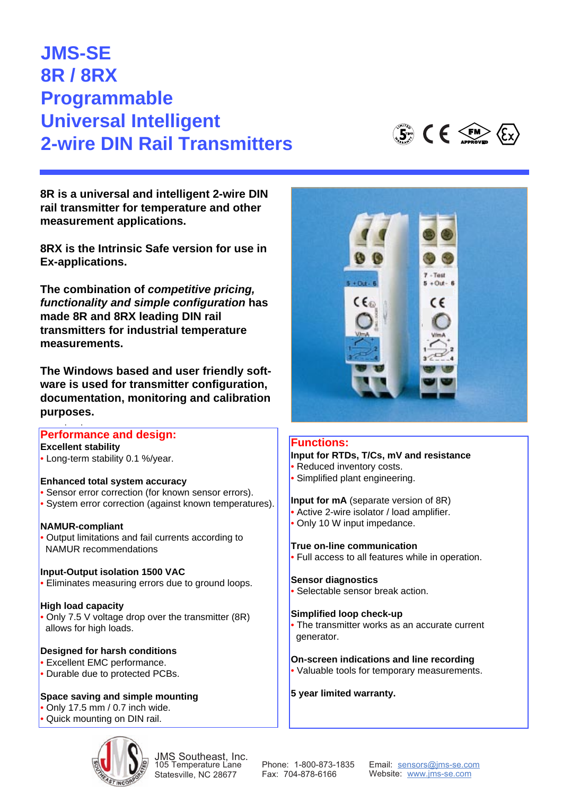# UNIVERSAL INTERNITENT<br>2 wite DIN Deil Trener 2-wire DIN Rail Transmitters **JMS-SE 8R / 8RX Programmable Universal Intelligent 2-wire DIN Rail Transmitters**

**8R is a universal and intelligent 2-wire DIN rail transmitter for temperature and other measurement applications.** 

**Ex-applications.**  $\blacksquare$ rail transmitter for temperature and other **8RX is the Intrinsic Safe version for use in** 

**The combination of** *competitive pricing,* functionality and simple configuration has made 8R and 8RX leading DIN rail transmitters for industrial temperature **the configuration of the simple configuration**  $\mathbf{r}$  **and**  $\mathbf{r}$  **and**  $\mathbf{r}$  **and**  $\mathbf{r}$  **and**  $\mathbf{r}$  **and**  $\mathbf{r}$  **and**  $\mathbf{r}$  **and**  $\mathbf{r}$  **and**  $\mathbf{r}$  **and**  $\mathbf{r}$  **and**  $\mathbf{r}$  **and**  $\mathbf{r}$  **and**  $\mathbf{r}$  **and \mathbf{r** 

**The Windows based and user friendly soft**ware is used for transmitter configuration, documentation, monitoring and calibration ration, documentation, monitoring and calibrapurposes.

### **Performance and design:**

# **Excellent stability**

• Long-term stability 0.1 %/year.

# *• Long-term stability 0.1 %/year.* **Enhanced total system accuracy**

- Sensor error correction (for known sensor errors).
- System error correction (against known temperatures).

## NAMUR-compliant **NAMUR-compliant**

*• Output limitations and fail currents according to* • Output limitations and fail currents according to *NAMUR recommendations* NAMUR recommendations

## Input-Output isolation 1500 VAC **Input-Output isolation 1500 VAC**

*• Eliminates measuring errors due to ground loops.* • Eliminates measuring errors due to ground loops.

## *• Only 7.5 V voltage drop over the transmitter* **High load capacity**

• Only 7.5 V voltage drop over the transmitter (8R) allows for high loads.

## **Designed for harsh conditions**

- **•** Excellent EMC performance.
- Durable due to protected PCBs.

#### **Space saving and simple mounting**

- Only 17.5 mm / 0.7 inch wide.
- Quick mounting on DIN rail.



JMS Southeast, Inc. 105 Temperature Lane Statesville, NC 28677

Phone: 1-800-873-1835 Fax: 704-878-6166

Email: sensors@jms-se.com Website: www.jms-se.com

#### Functions: **Input for RTDs, T/Cs, mV and resistance Functions:**

- mput for Reduced inventory costs.
- *<u><i>Reduced</u> Proposition Reduced Reduced Reduced Reduced Reduced Reduced Reduced Reduced Reduced Reduced Reduced Reduced Reduced Reduced Reduced Reduce*</u> *• Simplified plant engineering.* • Simplified plant engineering.

#### **Input for mA** (separate version of 8R)

- *• Active 2-wire isolator / load amplifier.* Active 2-wire isolator / load amplifier.
- *• Only 10* Ω *input impedance.* Only 10 W input impedance.

# True on-line communication **True on-line communication**

*• Full access to all features while in operation.* • Full access to all features while in operation.

#### *• Selectable sensor break action.* **Sensor diagnostics**

• Selectable sensor break action.

# *• The transmitter works as an accurate current* **Simplified loop check-up**

*generator.* • The transmitter works as an accurate current generator. **Exercise and line recording and line recording and line recording and line recording and line recording and line recording and line recording and line recording and line recording and line recording and line re** 

#### **On-screen indications and line recording**

• Valuable tools for temporary measurements.

#### **5 year limited warranty.**



 $\mathbb{G}$   $\mathbb{C}$   $\mathbb{C}$   $\mathbb{C}$   $\mathbb{C}$   $\mathbb{C}$   $\mathbb{C}$   $\mathbb{C}$   $\mathbb{C}$   $\mathbb{C}$   $\mathbb{C}$   $\mathbb{C}$   $\mathbb{C}$   $\mathbb{C}$   $\mathbb{C}$   $\mathbb{C}$   $\mathbb{C}$   $\mathbb{C}$   $\mathbb{C}$   $\mathbb{C}$   $\mathbb{C}$   $\mathbb{C}$   $\mathbb{C}$   $\mathbb{C}$   $\mathbb{$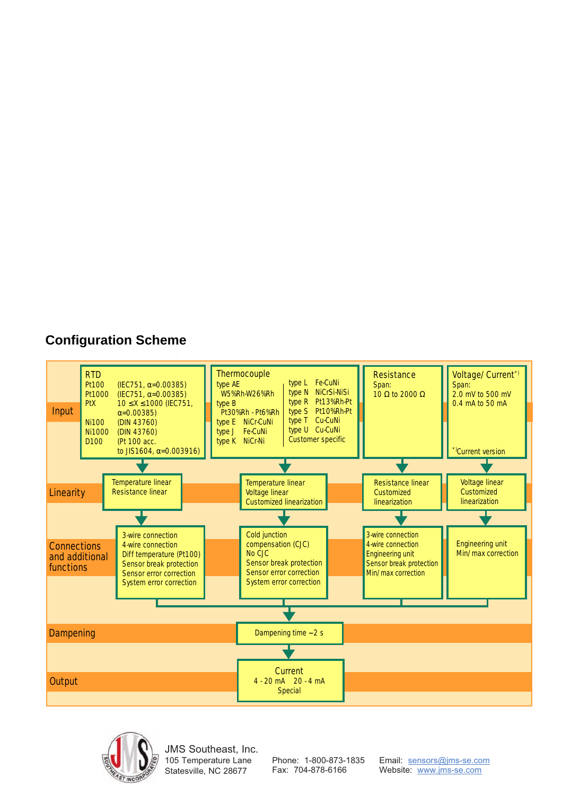



JMS Southeast, Inc. 105 Temperature Lane Statesville, NC 28677

Phone: 1-800-873-1835 Fax: 704-878-6166

Email: sensors@jms-se.com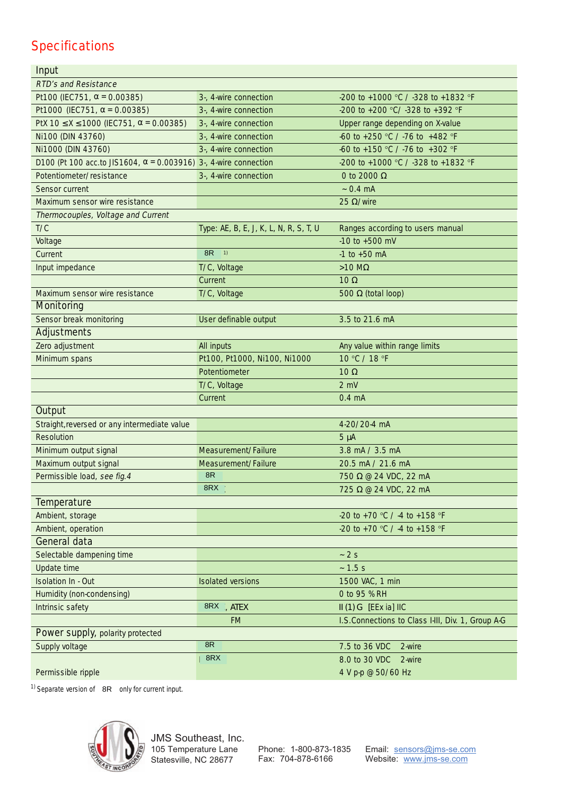# **Specifications**

| Input                                                                   |                                        |                                                    |
|-------------------------------------------------------------------------|----------------------------------------|----------------------------------------------------|
| <b>RTD's and Resistance</b>                                             |                                        |                                                    |
| Pt100 (IEC751, $\alpha$ = 0.00385)                                      | 3-, 4-wire connection                  | -200 to +1000 °C / -328 to +1832 °F                |
| Pt1000 (IEC751, $\alpha$ = 0.00385)                                     | 3-, 4-wire connection                  | -200 to +200 °C/ -328 to +392 °F                   |
| PtX $10 \le X \le 1000$ (IEC751, $\alpha$ = 0.00385)                    | 3-, 4-wire connection                  | Upper range depending on X-value                   |
| Ni100 (DIN 43760)                                                       | 3-, 4-wire connection                  | -60 to +250 °C / -76 to +482 °F                    |
| Ni1000 (DIN 43760)                                                      | 3-, 4-wire connection                  | -60 to +150 °C / -76 to +302 °F                    |
| D100 (Pt 100 acc.to JIS1604, $\alpha$ = 0.003916) 3-, 4-wire connection |                                        | -200 to +1000 °C / -328 to +1832 °F                |
| Potentiometer/resistance                                                | 3-, 4-wire connection                  | 0 to 2000 $\Omega$                                 |
| Sensor current                                                          |                                        | $-0.4 \text{ mA}$                                  |
| Maximum sensor wire resistance                                          |                                        | 25 $\Omega$ /wire                                  |
| Thermocouples, Voltage and Current                                      |                                        |                                                    |
| T/C                                                                     | Type: AE, B, E, J, K, L, N, R, S, T, U | Ranges according to users manual                   |
| Voltage                                                                 |                                        | $-10$ to $+500$ mV                                 |
| Current                                                                 | 8 <sub>R</sub><br>$\sqrt{1}$           | $-1$ to $+50$ mA                                   |
| Input impedance                                                         | T/C, Voltage                           | $>10$ ΜΩ                                           |
|                                                                         | Current                                | $10 \Omega$                                        |
| Maximum sensor wire resistance                                          | T/C, Voltage                           | 500 $\Omega$ (total loop)                          |
| <b>Monitoring</b>                                                       |                                        |                                                    |
| Sensor break monitoring                                                 | User definable output                  | 3.5 to 21.6 mA                                     |
| <b>Adjustments</b>                                                      |                                        |                                                    |
| Zero adjustment                                                         | All inputs                             | Any value within range limits                      |
| Minimum spans                                                           | Pt100, Pt1000, Ni100, Ni1000           | 10 °C / 18 °F                                      |
|                                                                         | Potentiometer                          | $10 \Omega$                                        |
|                                                                         | T/C, Voltage                           | $2$ mV                                             |
|                                                                         | Current                                | $0.4 \text{ mA}$                                   |
| <b>Output</b>                                                           |                                        |                                                    |
| Straight, reversed or any intermediate value                            |                                        | 4-20/20-4 mA                                       |
| Resolution                                                              |                                        | $5 \mu A$                                          |
| Minimum output signal                                                   | Measurement/Failure                    | 3.8 mA / 3.5 mA                                    |
| Maximum output signal                                                   | Measurement/Failure                    | 20.5 mA / 21.6 mA                                  |
| Permissible load, see fig. 4                                            | 8R                                     | 750 Ω @ 24 VDC, 22 mA                              |
|                                                                         | 8RX                                    | 725 Ω @ 24 VDC, 22 mA                              |
| <b>Temperature</b>                                                      |                                        |                                                    |
| Ambient, storage                                                        |                                        | -20 to +70 °C / -4 to +158 °F                      |
| Ambient, operation                                                      |                                        | -20 to +70 °C / -4 to +158 °F                      |
| <b>General data</b>                                                     |                                        |                                                    |
| Selectable dampening time                                               |                                        | $-2s$                                              |
| Update time                                                             |                                        | $-1.5 s$                                           |
| <b>Isolation In - Out</b>                                               | <b>Isolated versions</b>               | 1500 VAC, 1 min                                    |
| Humidity (non-condensing)                                               |                                        | 0 to 95 % RH                                       |
| Intrinsic safety                                                        | 8RX , ATEX                             | II (1) G [EEx ia] IIC                              |
|                                                                         | <b>FM</b>                              | I.S. Connections to Class I-III, Div. 1, Group A-G |
| <b>Power supply, polarity protected</b>                                 | 8R                                     |                                                    |
| Supply voltage                                                          |                                        | 7.5 to 36 VDC<br>2-wire                            |
|                                                                         | 8RX                                    | 8.0 to 30 VDC<br>2-wire                            |
| Permissible ripple                                                      |                                        | 4 V p-p @ 50/60 Hz                                 |

<sup>1)</sup> Separate version of  $8R$  only for current input.



JMS Southeast, Inc. 105 Temperature Lane Statesville, NC 28677

Phone: 1-800-873-1835 Fax: 704-878-6166

Email: sensors@jms-se.com Website: www.jms-se.com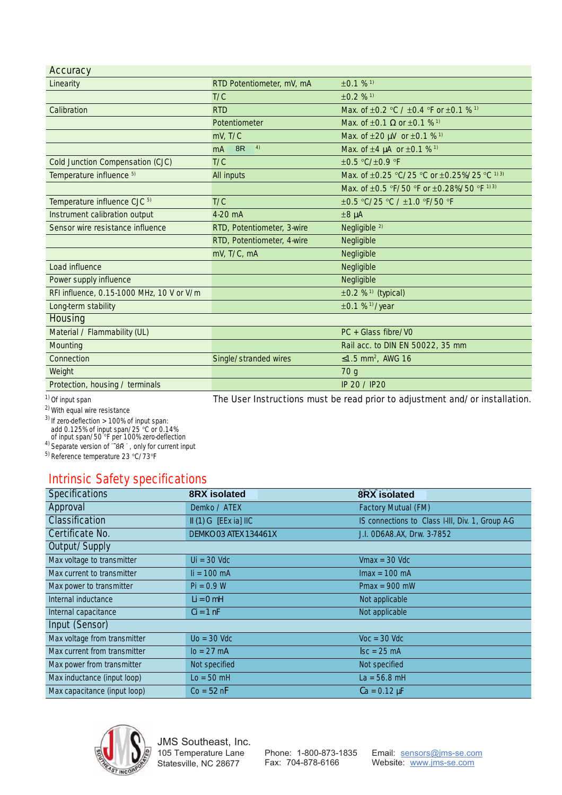#### $A$ couracy

| Accuracy                                  |                                                                             |                                                                   |
|-------------------------------------------|-----------------------------------------------------------------------------|-------------------------------------------------------------------|
| Linearity                                 | RTD Potentiometer, mV, mA                                                   | $±0.1%$ <sup>1)</sup>                                             |
|                                           | T/C                                                                         | $±0.2$ % <sup>1)</sup>                                            |
| Calibration                               | <b>RTD</b>                                                                  | Max. of $\pm 0.2$ °C / $\pm 0.4$ °F or $\pm 0.1$ % <sup>1)</sup>  |
|                                           | Potentiometer                                                               | Max. of $\pm 0.1 \Omega$ or $\pm 0.1 \%$ <sup>1)</sup>            |
|                                           | $mV$ , T/C                                                                  | Max. of $\pm 20 \mu V$ or $\pm 0.1$ % <sup>1)</sup>               |
|                                           | 4)<br>8R<br>mA                                                              | Max. of $\pm 4 \mu A$ or $\pm 0.1$ % <sup>1)</sup>                |
| Cold Junction Compensation (CJC)          | T/C                                                                         | $\pm 0.5$ °C/ $\pm 0.9$ °F                                        |
| Temperature influence 5)                  | All inputs                                                                  | Max. of ±0.25 °C/25 °C or ±0.25%/25 °C 1) 3)                      |
|                                           |                                                                             | Max. of $\pm 0.5$ °F/50 °F or $\pm 0.28\%/50$ °F <sup>1) 3)</sup> |
| Temperature influence CJC 5)              | T/C                                                                         | ±0.5 °C/25 °C / ±1.0 °F/50 °F                                     |
| Instrument calibration output             | 4-20 mA                                                                     | $\pm 8 \mu A$                                                     |
| Sensor wire resistance influence          | RTD, Potentiometer, 3-wire                                                  | Negligible <sup>2)</sup>                                          |
|                                           | RTD, Potentiometer, 4-wire                                                  | Negligible                                                        |
|                                           | mV, T/C, mA                                                                 | Negligible                                                        |
| Load influence                            |                                                                             | Negligible                                                        |
| Power supply influence                    |                                                                             | Negligible                                                        |
| RFI influence, 0.15-1000 MHz, 10 V or V/m |                                                                             | $\pm 0.2$ % <sup>1)</sup> (typical)                               |
| Long-term stability                       |                                                                             | $\pm 0.1$ % <sup>1)</sup> /year                                   |
| <b>Housing</b>                            |                                                                             |                                                                   |
| Material / Flammability (UL)              |                                                                             | PC + Glass fibre/VO                                               |
| Mounting                                  |                                                                             | Rail acc. to DIN EN 50022, 35 mm                                  |
| Connection                                | Single/stranded wires                                                       | ≤1.5 mm <sup>2</sup> , AWG 16                                     |
| Weight                                    |                                                                             | 70 g                                                              |
| Protection, housing / terminals           |                                                                             | IP 20 / IP20                                                      |
| <sup>1)</sup> Of input span               | The User Instructions must be read prior to adjustment and/or installation. |                                                                   |

<sup>)</sup> Of input span

2) With equal wire resistance

 $^{3)}$  If zero-deflection > 100% of input span: add 0.125% of input span/25 °C or 0.14%<br>of input span/50 °F per 100% zero-deflection<br><sup>4)</sup> Separate version of `ā**r**̄, only for current input

5) Reference temperature 23 °C/73°F

## Intrinsic Safety specifications

| <b>Specifications</b>        | <b>8RX</b> isolated          | <b>8RX</b> isolated                              |  |  |
|------------------------------|------------------------------|--------------------------------------------------|--|--|
| Approval                     | Demko / ATEX                 | <b>Factory Mutual (FM)</b>                       |  |  |
| <b>Classification</b>        | $II(1) G$ [EEx ia] IIC       | IS connections to Class I-III, Div. 1, Group A-G |  |  |
| Certificate No.              | <b>DEMKO 03 ATEX 134461X</b> | J.I. OD6A8.AX, Drw. 3-7852                       |  |  |
| Output/Supply                |                              |                                                  |  |  |
| Max voltage to transmitter   | $Ui = 30$ Vdc                | $Vmax = 30$ Vdc                                  |  |  |
| Max current to transmitter   | $\mathbf{I}$ i = 100 mA      | $Imax = 100 \text{ mA}$                          |  |  |
| Max power to transmitter     | $Pi = 0.9 W$                 | $Pmax = 900$ mW                                  |  |  |
| Internal inductance          | $Li = 0 mH$                  | Not applicable                                   |  |  |
| Internal capacitance         | $Ci = 1 nF$                  | Not applicable                                   |  |  |
| Input (Sensor)               |                              |                                                  |  |  |
| Max voltage from transmitter | $Uo = 30$ Vdc                | $Voc = 30$ Vdc                                   |  |  |
| Max current from transmitter | $I_0 = 27 \text{ mA}$        | $\textsf{lsc} = 25 \text{ mA}$                   |  |  |
| Max power from transmitter   | Not specified                | Not specified                                    |  |  |
| Max inductance (input loop)  | $Lo = 50$ mH                 | $La = 56.8$ mH                                   |  |  |
| Max capacitance (input loop) | $Co = 52 nF$                 | $Ca = 0.12 \mu F$                                |  |  |



JMS Southeast, Inc. 105 Temperature Lane Statesville, NC 28677

Phone: 1-800-873-1835 Fax: 704-878-6166

Email: sensors@jms-se.com Website: www.jms-se.com